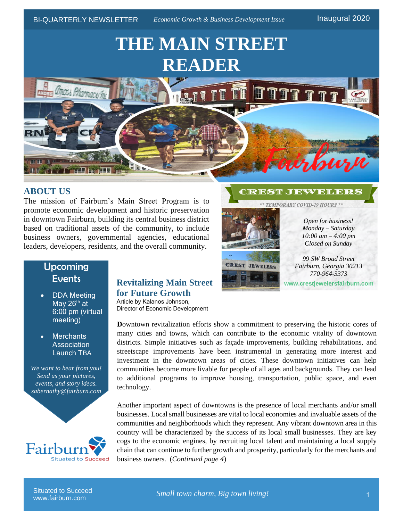# **THE MAIN STREET READER**



#### **ABOUT US**

The mission of Fairburn's Main Street Program is to promote economic development and historic preservation in downtown Fairburn, building its central business district based on traditional assets of the community, to include business owners, governmental agencies, educational leaders, developers, residents, and the overall community.

#### **CREST JEWELERS**

\*\* TEMPORARY COVID-19 HOURS \*\*



**CREST JEWELERS** 

*Open for business! Monday – Saturday 10:00 am – 4:00 pm Closed on Sunday*

**www.crestjewelersfairburn.com**

*99 SW Broad Street Fairburn, Georgia 30213 770-964-3373*

# Upcoming **Events**

- DDA Meeting May  $26<sup>th</sup>$  at 6:00 pm (virtual meeting)
- Merchants **Association** Launch TBA

*We want to hear from you! Send us your pictures, events, and story ideas. sabernathy@fairburn.com*



#### **Revitalizing Main Street for Future Growth** Article by Kalanos Johnson,

Director of Economic Development

**D**owntown revitalization efforts show a commitment to preserving the historic cores of many cities and towns, which can contribute to the economic vitality of downtown districts. Simple initiatives such as façade improvements, building rehabilitations, and streetscape improvements have been instrumental in generating more interest and investment in the downtown areas of cities. These downtown initiatives can help communities become more livable for people of all ages and backgrounds. They can lead to additional programs to improve housing, transportation, public space, and even technology.

Another important aspect of downtowns is the presence of local merchants and/or small businesses. Local small businesses are vital to local economies and invaluable assets of the communities and neighborhoods which they represent. Any vibrant downtown area in this country will be characterized by the success of its local small businesses. They are key cogs to the economic engines, by recruiting local talent and maintaining a local supply chain that can continue to further growth and prosperity, particularly for the merchants and business owners. (*Continued page 4*)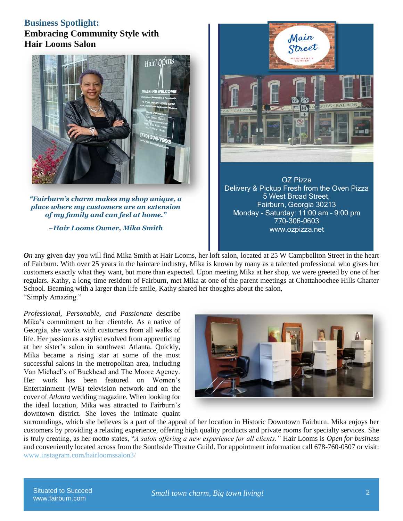## **Business Spotlight: Embracing Community Style with Hair Looms Salon**



*"Fairburn's charm makes my shop unique, a place where my customers are an extension of my family and can feel at home."*

*~Hair Looms Owner, Mika Smith*



OZ Pizza Delivery & Pickup Fresh from the Oven Pizza 5 West Broad Street, Fairburn, Georgia 30213 Monday - Saturday: 11:00 am – 9:00 pm 770-306-0603 www.ozpizza.net

*On* any given day you will find Mika Smith at Hair Looms, her loft salon, located at 25 W Campbellton Street in the heart of Fairburn. With over 25 years in the haircare industry, Mika is known by many as a talented professional who gives her customers exactly what they want, but more than expected. Upon meeting Mika at her shop, we were greeted by one of her regulars. Kathy, a long-time resident of Fairburn, met Mika at one of the parent meetings at Chattahoochee Hills Charter School. Beaming with a larger than life smile, Kathy shared her thoughts about the salon, "Simply Amazing."

*Professional, Personable, and Passionate* describe Mika's commitment to her clientele. As a native of Georgia, she works with customers from all walks of life. Her passion as a stylist evolved from apprenticing at her sister's salon in southwest Atlanta. Quickly, Mika became a rising star at some of the most successful salons in the metropolitan area, including Van Michael's of Buckhead and The Moore Agency. Her work has been featured on Women's Entertainment (WE) television network and on the cover of *Atlanta* wedding magazine. When looking for the ideal location, Mika was attracted to Fairburn's downtown district. She loves the intimate quaint



surroundings, which she believes is a part of the appeal of her location in Historic Downtown Fairburn. Mika enjoys her customers by providing a relaxing experience, offering high quality products and private rooms for specialty services. She is truly creating, as her motto states, "*A salon offering a new experience for all clients."* Hair Looms is *Open for business* and conveniently located across from the Southside Theatre Guild. For appointment information call 678-760-0507 or visit: [www.instagram.com/hairloomssalon3/](http://www.instagram.com/hairloomssalon3/)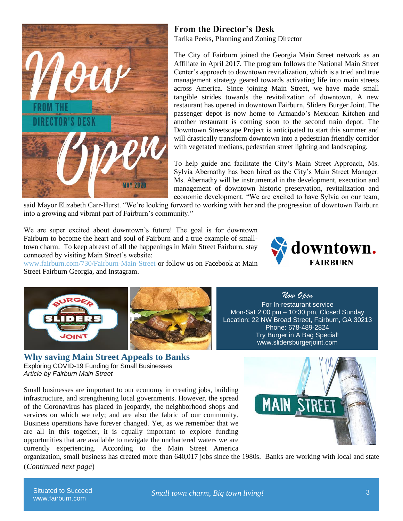

### **From the Director's Desk**

Tarika Peeks, Planning and Zoning Director

The City of Fairburn joined the Georgia Main Street network as an Affiliate in April 2017. The program follows the National Main Street Center's approach to downtown revitalization, which is a tried and true management strategy geared towards activating life into main streets across America. Since joining Main Street, we have made small tangible strides towards the revitalization of downtown. A new restaurant has opened in downtown Fairburn, Sliders Burger Joint. The passenger depot is now home to Armando's Mexican Kitchen and another restaurant is coming soon to the second train depot. The Downtown Streetscape Project is anticipated to start this summer and will drastically transform downtown into a pedestrian friendly corridor with vegetated medians, pedestrian street lighting and landscaping.

To help guide and facilitate the City's Main Street Approach, Ms. Sylvia Abernathy has been hired as the City's Main Street Manager. Ms. Abernathy will be instrumental in the development, execution and management of downtown historic preservation, revitalization and economic development. "We are excited to have Sylvia on our team,

said Mayor Elizabeth Carr-Hurst. "We're looking forward to working with her and the progression of downtown Fairburn into a growing and vibrant part of Fairburn's community."

We are super excited about downtown's future! The goal is for downtown Fairburn to become the heart and soul of Fairburn and a true example of smalltown charm. To keep abreast of all the happenings in Main Street Fairburn, stay connected by visiting Main Street's website:



www.fairburn.com/730/Fairburn-Main-Street or follow us on Facebook at Main Street Fairburn Georgia, and Instagram.



**Why saving Main Street Appeals to Banks** Exploring COVID-19 Funding for Small Businesses *Article by Fairburn Main Street*

Small businesses are important to our economy in creating jobs, building infrastructure, and strengthening local governments. However, the spread of the Coronavirus has placed in jeopardy, the neighborhood shops and services on which we rely; and are also the fabric of our community. Business operations have forever changed. Yet, as we remember that we are all in this together, it is equally important to explore funding opportunities that are available to navigate the unchartered waters we are currently experiencing. According to the Main Street America



*Now Open*  For In-restaurant service Mon-Sat 2:00 pm – 10:30 pm, Closed Sunday



organization, small business has created more than 640,017 jobs since the 1980s. Banks are working with local and state (*Continued next page*)